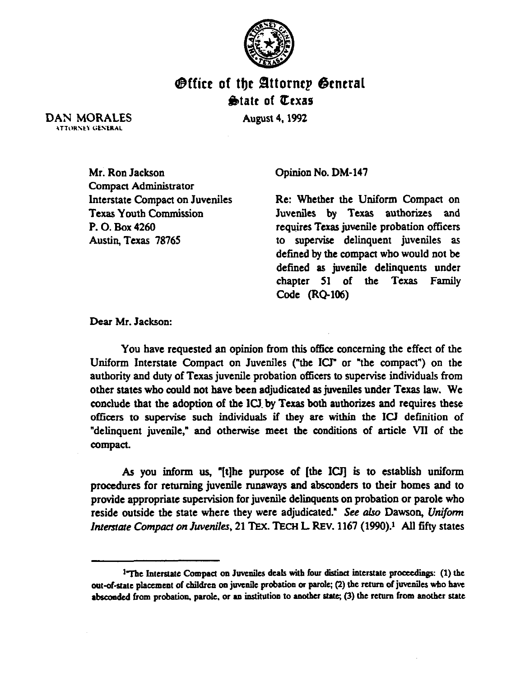

## *<b>@ffice of the Attornep General*  $\bigcirc$ **a** tate of *Cexas*

**August 4, 1992** 

DAN MORALES **ATTORNEY GENERAL** 

> Mr. Ron Jackson Compact Administrator Interstate Compact on Juveniles Texas Youth Commission P. 0. Box 4260 Austin. Texas 78765

Opinion No. DM-147

Re: Whether the Uniform Compact on Juveniles by Texas authorizes and requires Texas juvenile probation officers to supervise delinquent juveniles as defined by the compact who would not be defined as juvenile delinquents under chapter 51 of the Texas Family Code (RQ-106)

Dear Mr. Jackson:

You have requested an opinion from this office concerning the effect of the Uniform Interstate Compact on Juveniles ("the ICJ" or "the compact") on the authority and duty of Texas juvenile probation officers to supervise individuals from other states who could not have been adjudicated as juveniles under Texas law. We conclude that the adoption of the ICJ.by Texas both authorizes and requires these officers to supervise such individuals if they are within the ICJ definition of "delinquent juvenile," and otherwise meet the conditions of article VII of the compact.

As you inform us, "[t]he purpose of [the ICT] is to establish uniform procedures for returning juvenile runaways and absconders to their homes and to provide appropriate supervision for juvenile delinquents on probation or parole who reside outside the state where they were adjudicated." See also Dawson, Uniform Interstate *Compact on Juveniles*, 21 TEX. TECH L. REV. 1167 (1990).<sup>1</sup> All fifty states

<sup>&</sup>lt;sup>1-</sup>The Interstate Compact on Juveniles deals with four distinct interstate proceedings: (1) the out-of-state placement of children on juvenile probation or parole; (2) the return of juveniles who have absconded from probation, parole, or an institution to another state; (3) the return from another state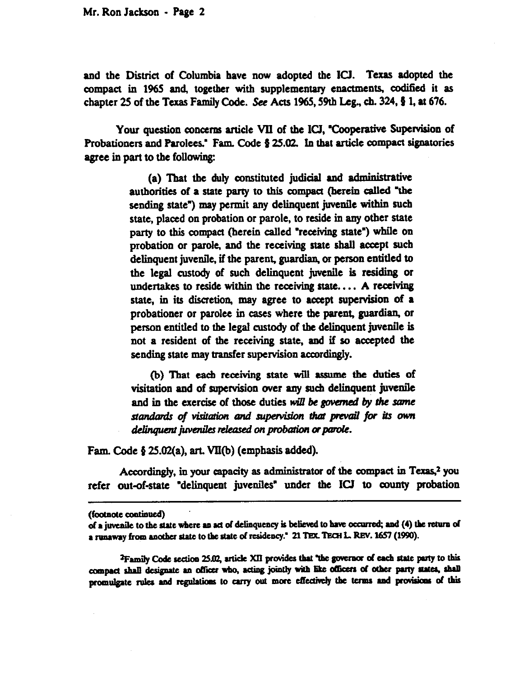Mr. Ron Jackson - Page 2

and the District of Columbia have now adopted the ICJ. Texas adopted the compact in 1965 and, together with supplementary enactments, codified it as chapter 25 of the Texas Family Code. See Acts 1965, 59th Leg., ch. 324,  $\frac{5}{9}$  1, at 676.

Your question concerns article VII of the ICJ, 'cooperative Supervision of Probationers and Parolees." Fam. Code  $\S 25.02$ . In that article compact signatories agree in part to the following:

> (a) That the duly constituted judicial and administrative authorities of a state party to this compact (herein called "the sending state") may permit any delinquent juvenile within such state, placed on probation or parole, to reside in any other state party to this compact (herein called "receiving state") while on probation or parole, and the receiving state shall accept **such**  delinquent juvenile, if the parent, guardian, or person entitled to the legal custody of such delinquent juvenile is residing or undertakes to reside within the receiving state.. . . **A** receiving state, in its discretion, may agree to accept supervision of a probationer or parolee in cases where the parent, guardian, or person entitled to the legal custody of the delinquent juvenile is not a resident of the receiving state, and if so accepted the sending state may transfer supervision accordingly.

> (b) That each receiving state will assume the duties **Of**  visitation and of supervision over any such delinquent juvenile and in the exercise of those duties will be governed by the same standards of visitation and supervision that prevail for its own delinquent juveniles released on probation or parole.

Fam. Code  $\S 25.02(a)$ , art. VII(b) (emphasis added).

Accordingly, in your capacity as administrator **of** the compact in Texas.2 you refer out-of-state "delinquent juveniles" under the ICJ to county probation

<sup>2</sup>Family Code section 25.02, article XII provides that "the governor of each state party to this compact shall designate an officer who, acting jointly with like officers of other party states, shall promulgate rules and regulations to carry out more effectively the terms and provisions of this

<sup>(</sup>footnote continued)

of a juvenile to the state where an act of delinquency is believed to have occurred; and (4) the return of a runaway from another state to the state of residency." 21 TEX. TECH L. REV. 1657 (1990).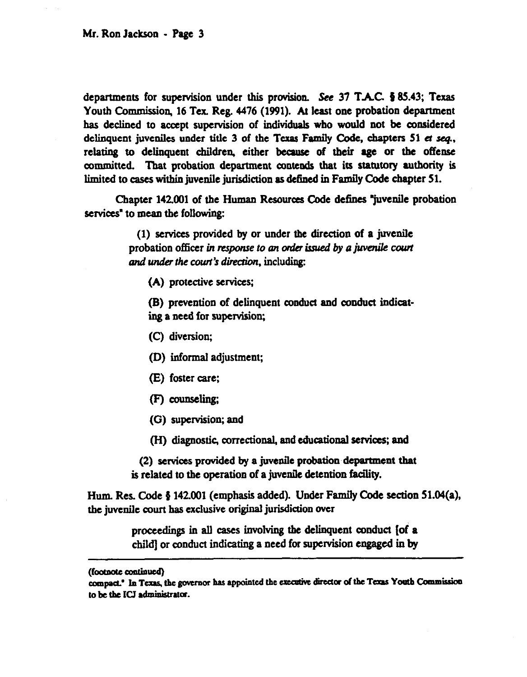departments for supervision under this provision. See 37 T.A.C.  $\frac{5}{2}$  85.43; Texas Youth Commission, 16 Tex. Reg. 4476 (1991). At least one probation department has declined to accept supervision of individuals who would not be considered delinquent juveniles under title  $3$  of the Texas Family Code, chapters  $51$  et seq., relating to delinquent children, either because of their age or the offense committed. That probation department contends that its statutory authority is limited to cases within juvenile jurisdiction as defined in Family Code chapter 51.

Chapter 142.001 of the Human Resources Code defines "juvenile probation services" to mean the following:

> (1) services provided by or under the direction of a juvenile probation officer in response to an order issued by a juvenile court *and under the court's direction, including:*

(A) protective services;

(R) prevention of delinquent conduct and conduct indicating a need for supervisiom

- (C) diversion;
- (D) informal adjustment;
- (E) foster care:
- (F) counseling;
- (G) supervision; and
- (H) diagnostic, correctional, and educational services; and

(2) services provided by a juvenile probation department that is related to the operation of a juvenile detention facility.

Hum. Res. Code g 142.001 (emphasis added). Under Family Code section 51.04(a), the juvenile court has exclusive original jurisdiction over

> proceedings in all cases involving the delinquent conduct [of a child] or conduct indicating a need for supervision engaged in by

<sup>(</sup>footnote continued)<br>compact." In Texas, the governor has appointed the executive director of the Texas Youth Commission to be the ICJ administrator.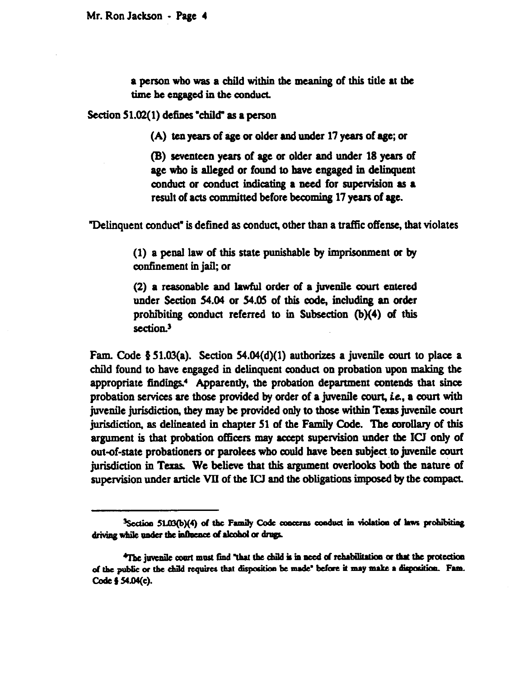a person who was a child within the meaning of this title at the time be engaged in the conduct.

Section 51.02(1) defines "child" as a person

(A) ten years of age or older aad under 17 years of age; or

(B) seventeen years of age or older and under 18 years of age who is alleged or found to have engaged in delinquent conduct or conduct indicating a need for supervision as a result of acts committed before becoming 17 years of age.

"Delinquent conduct" is defined as conduct, other than a traffic offense, that violates

(1) a penal law of this state punishable by imprisomnent or by confinement in jail, or

(2) a reasonable and lawful order of a juvenile court entered under Section 54.04 or 54.05 of this code, including an order prohibiting conduct referred to in Subsection  $(b)(4)$  of this section.<sup>3</sup>

Fam. Code  $\S 51.03(a)$ . Section 54.04(d)(1) authorizes a juvenile court to place a child found to have engaged in delinquent conduct on probation upon making the appropriate findings.<sup>4</sup> Apparently, the probation department contends that since probation services are those provided by order of a juvenile court, i.e., a court with juvenile jurisdiction, they may be provided only to those within Texas juvenile court jurisdiction, as delineated in chapter 51 of the Family Code. The corollary of this argument is that probation officers may accept supervision under the ICJ only of out-of-state probationers or parolees who could have been subject to juvenile court jurisdiction in Texas. We believe that this argument overlook both the nature of supervision under article VII of the ICJ and the obligations imposed by the compact.

<sup>&</sup>lt;sup>3</sup>Section 51.03(b)(4) of the Family Code concerns conduct in violation of laws prohibiting driving while under the influence of alcohol or drugs.

<sup>\*</sup>The invenile court must find "that the child is in need of rehabilitation or that the protection of the public or the child requires that disposition be made' before it may make a disposition. Fam. Code § 54.04(c).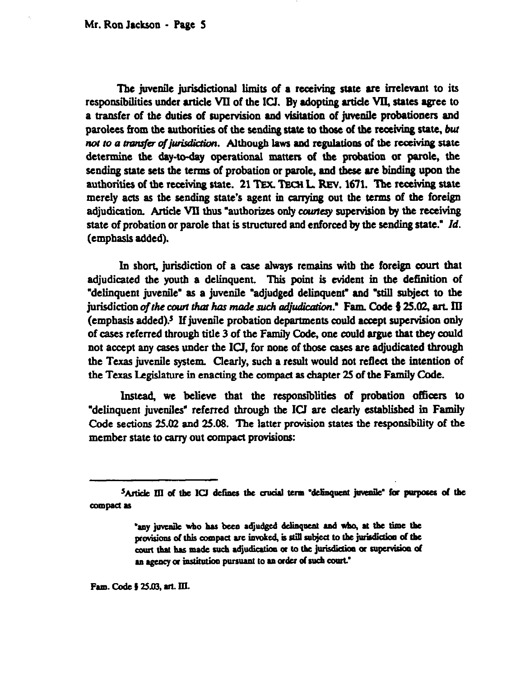The juvenile jurisdictional limits of a receiving state are irrelevant to its responsibilities under article VII of the ICJ. By adopting article VII, states agree to a transfer of the duties of supervision and visitation of juvenile probationers and parolees from the authorities of the sending state to those of the receiving state, *but not to a transfer of jurisdiction.* Although laws and regulations of the receiving state determine the day-today operational matters of the probation or parole, the sending state sets the terms of probation or parole, and these are binding upon the authorities of the receiving state. 21 TEX. TECH L. REV. 1671. The receiving state merely acts as the sending state's agent in carrying out the terms of the foreign adjudication. Article VII thus "authorizes only courtesy supervision by the receiving state of probation or parole that is strnctured and enforced by the sending state." *Id.*  (emphasis added).

In short, jurisdiction of a case always remains with the foreign court that adjudicated the youth a delinquent. This point is evident in the definition of "delinquent juvenile" as a juvenile "adjudged delinquent" and "still subject to the jurisdiction of the court that has made such adjudication." Fam. Code § 25.02, art. III (emphasis added)? If juvenile probation departments could accept supenrision only of cases referred through title 3 of the Family Code, one could argue that they could not accept any cases under the ICI, for none of those cases are adjudicated through the Texas juvenile system. Clearly, such a result would not reflect the intention of the Texas Legislature in enacting the compact as chapter 25 of the Family Code.

Instead, we believe that the responsiblities of probation officers to "delinquent juveniles" referred through the ICJ are clearly established in Family Code sections 25.02 and 25.08. The latter provision states the responsibility of the member state to carry out compact provisions:

Fam. Code § 25.03, art. III.

<sup>&</sup>lt;sup>5</sup>Article III of the ICJ defines the crucial term 'delinquent juvenile' for purposes of the compact as

<sup>&#</sup>x27;any juvenile who has been adjudged delinquent and who, at the time the provisions of this compact are invoked, is still subject to the jurisdiction of the court that has made such adjudication or to the jurisdiction or supervision of an agency or institution pursuant to an order of such court."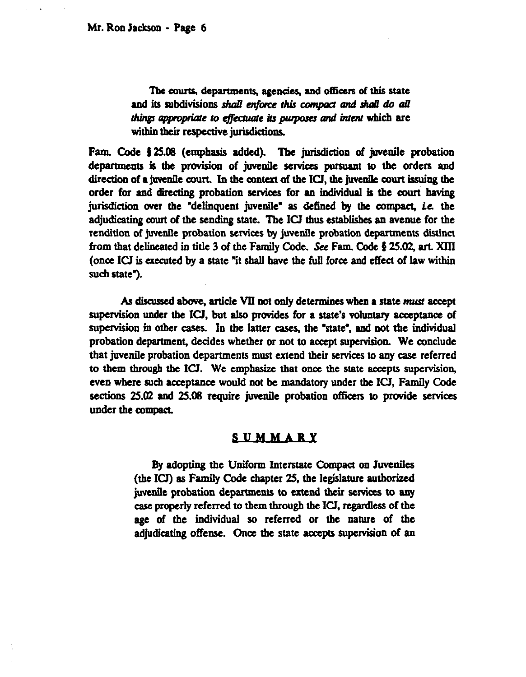The courts, departments, agencies, and officers of this state and its subdivisions shall enforce this compact and shall do all things appropriate to effectuate its purposes and intent which are within their respective jurisdictions.

Fam. Code  $\frac{1}{2}$  25.08 (emphasis added). The jurisdiction of juvenile probation departments is the provision of juvenile services pursuant to the orders and direction of a juvenile court. In the context of the ICI, the juvenile court issuing the order for and directing probation services for an individual is the court having jurisdiction over the "delinquent juvenile" as defined by the compact, i.e. the adjudicating court of the sending state. The ICJ thus establishes an avenue for the rendition of juvenile probation services by juvenile probation departments distinct from that delineated in title 3 of the Family Code. See Fam. Code  $\S 25.02$ , art. XIII (once ICJ is executed by a state "it shall have the full force and effect of law within such state").

As discussed above, article VII not only determines when a state must accept supervision under the ICJ, but also provides for a state's voluntary acceptance of supervision in other cases. In the latter cases, the %tate', and not the individual probation department, decides whether or not to accept supervision. We conclude that juvenile probation departments must extend their services to any case referred to them through the IU. We emphasize that once the state accepts supervision, even where such acceptance would not he mandatory under the ICI, Family Code sections  $25.02$  and  $25.08$  require juvenile probation officers to provide services under the compact.

## SUMMARY

By adopting the Uniform Interstate Compact on Juveniles  $($ the ICJ $)$  as Family Code chapter 25, the legislature authorized juvenile probation departments to extend their services to any case properly referred to them through the ICI, regardless of the age of the individual so referred or the nature of the adjudicating offense. Once the state accepts supervision of an